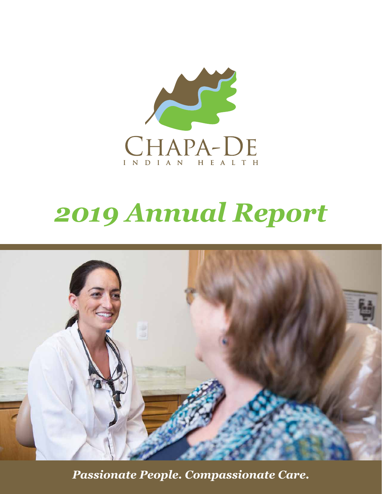

# *2019 Annual Report*



*Passionate People. Compassionate Care.*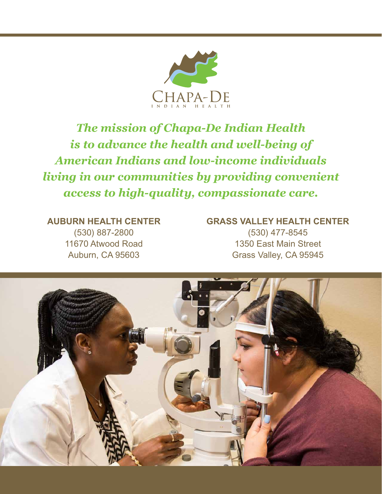![](_page_1_Picture_0.jpeg)

## *The mission of Chapa-De Indian Health is to advance the health and well-being of American Indians and low-income individuals living in our communities by providing convenient access to high-quality, compassionate care.*

**AUBURN HEALTH CENTER** (530) 887-2800 11670 Atwood Road Auburn, CA 95603

### **GRASS VALLEY HEALTH CENTER**  (530) 477-8545 1350 East Main Street Grass Valley, CA 95945

![](_page_1_Picture_4.jpeg)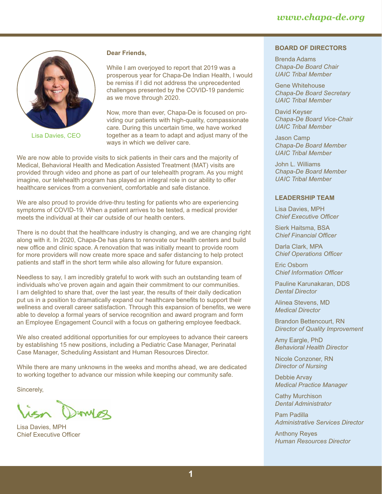![](_page_2_Picture_1.jpeg)

Lisa Davies, CEO

#### **Dear Friends,**

While I am overjoyed to report that 2019 was a prosperous year for Chapa-De Indian Health, I would be remiss if I did not address the unprecedented challenges presented by the COVID-19 pandemic as we move through 2020.

Now, more than ever, Chapa-De is focused on providing our patients with high-quality, compassionate care. During this uncertain time, we have worked together as a team to adapt and adjust many of the ways in which we deliver care.

We are now able to provide visits to sick patients in their cars and the majority of Medical, Behavioral Health and Medication Assisted Treatment (MAT) visits are provided through video and phone as part of our telehealth program. As you might imagine, our telehealth program has played an integral role in our ability to offer healthcare services from a convenient, comfortable and safe distance.

We are also proud to provide drive-thru testing for patients who are experiencing symptoms of COVID-19. When a patient arrives to be tested, a medical provider meets the individual at their car outside of our health centers.

There is no doubt that the healthcare industry is changing, and we are changing right along with it. In 2020, Chapa-De has plans to renovate our health centers and build new office and clinic space. A renovation that was initially meant to provide room for more providers will now create more space and safer distancing to help protect patients and staff in the short term while also allowing for future expansion.

Needless to say, I am incredibly grateful to work with such an outstanding team of individuals who've proven again and again their commitment to our communities. I am delighted to share that, over the last year, the results of their daily dedication put us in a position to dramatically expand our healthcare benefits to support their wellness and overall career satisfaction. Through this expansion of benefits, we were able to develop a formal years of service recognition and award program and form an Employee Engagement Council with a focus on gathering employee feedback.

We also created additional opportunities for our employees to advance their careers by establishing 15 new positions, including a Pediatric Case Manager, Perinatal Case Manager, Scheduling Assistant and Human Resources Director.

While there are many unknowns in the weeks and months ahead, we are dedicated to working together to advance our mission while keeping our community safe.

Sincerely,

Lisa Davies, MPH Chief Executive Officer

#### **BOARD OF DIRECTORS**

Brenda Adams *Chapa-De Board Chair UAIC Tribal Member* 

Gene Whitehouse *Chapa-De Board Secretary UAIC Tribal Member* 

David Keyser *Chapa-De Board Vice-Chair UAIC Tribal Member*

Jason Camp *Chapa-De Board Member UAIC Tribal Member*

John L. Williams *Chapa-De Board Member UAIC Tribal Member*

#### **LEADERSHIP TEAM**

Lisa Davies, MPH *Chief Executive Officer*

Sierk Haitsma, BSA *Chief Financial Officer* 

Darla Clark, MPA *Chief Operations Officer* 

Eric Osborn *Chief Information Officer*

Pauline Karunakaran, DDS *Dental Director* 

Alinea Stevens, MD *Medical Director* 

Brandon Bettencourt, RN *Director of Quality Improvement* 

Amy Eargle, PhD *Behavioral Health Director*

Nicole Conzoner, RN *Director of Nursing*

Debbie Arvay *Medical Practice Manager* 

Cathy Murchison *Dental Administrator* 

Pam Padilla *Administrative Services Director* 

Anthony Reyes *Human Resources Director*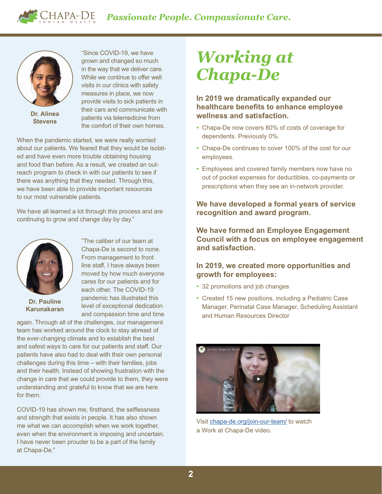![](_page_3_Picture_1.jpeg)

**Dr. Alinea Stevens**

"Since COVID-19, we have grown and changed so much in the way that we deliver care. While we continue to offer well visits in our clinics with safety measures in place, we now provide visits to sick patients in their cars and communicate with patients via telemedicine from the comfort of their own homes.

When the pandemic started, we were really worried about our patients. We feared that they would be isolated and have even more trouble obtaining housing and food than before. As a result, we created an outreach program to check in with our patients to see if there was anything that they needed. Through this, we have been able to provide important resources to our most vulnerable patients.

We have all learned a lot through this process and are continuing to grow and change day by day."

![](_page_3_Picture_6.jpeg)

**Dr. Pauline Karunakaran** 

"The caliber of our team at Chapa-De is second to none. From management to front line staff, I have always been moved by how much everyone cares for our patients and for each other. The COVID-19 pandemic has illustrated this level of exceptional dedication and compassion time and time

again. Through all of the challenges, our management team has worked around the clock to stay abreast of the ever-changing climate and to establish the best and safest ways to care for our patients and staff. Our patients have also had to deal with their own personal challenges during this time – with their families, jobs and their health. Instead of showing frustration with the change in care that we could provide to them, they were understanding and grateful to know that we are here for them.

COVID-19 has shown me, firsthand, the selflessness and strength that exists in people. It has also shown me what we can accomplish when we work together, even when the environment is imposing and uncertain. I have never been prouder to be a part of the family at Chapa-De."

## *Working at Chapa-De*

### **In 2019 we dramatically expanded our healthcare benefits to enhance employee wellness and satisfaction.**

- **•** Chapa-De now covers 80% of costs of coverage for dependents. Previously 0%.
- **•** Chapa-De continues to cover 100% of the cost for our employees.
- **•** Employees and covered family members now have no out of pocket expenses for deductibles, co-payments or prescriptions when they see an in-network provider.

**We have developed a formal years of service recognition and award program.**

**We have formed an Employee Engagement Council with a focus on employee engagement and satisfaction.**

### **In 2019, we created more opportunities and growth for employees:**

- **•** 32 promotions and job changes
- **•** Created 15 new positions, including a Pediatric Case Manager, Perinatal Case Manager, Scheduling Assistant and Human Resources Director

![](_page_3_Picture_21.jpeg)

Visit [chapa-de.org/join-our-team/](https://chapa-de.org/join-our-team/) to watch a Work at Chapa-De video.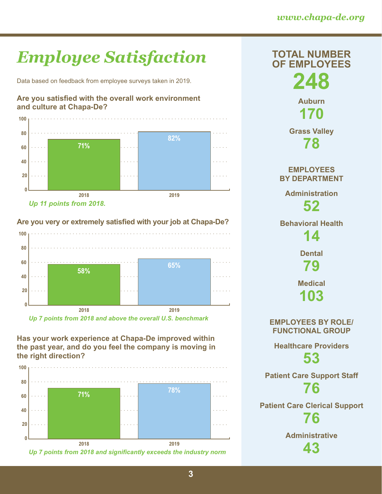**TOTAL NUMBER**

## *Employee Satisfaction*

Data based on feedback from employee surveys taken in 2019.

### **Are you satisfied with the overall work environment and culture at Chapa-De?**

![](_page_4_Figure_4.jpeg)

*Up 11 points from 2018.*

### **Are you very or extremely satisfied with your job at Chapa-De?**

![](_page_4_Figure_7.jpeg)

**Has your work experience at Chapa-De improved within the past year, and do you feel the company is moving in the right direction?**

![](_page_4_Figure_9.jpeg)

**OF EMPLOYEES 248 Auburn 170 Grass Valley 78 EMPLOYEES BY DEPARTMENT Administration 52 Behavioral Health 14 Dental 79 Medical 103 EMPLOYEES BY ROLE/ FUNCTIONAL GROUP Healthcare Providers**

**53**

**Patient Care Support Staff 76**

**Patient Care Clerical Support 76**

> **Administrative 43**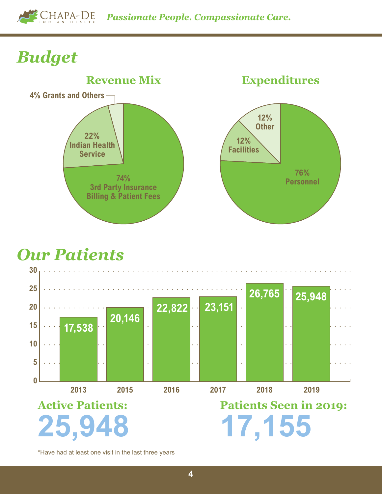### CHAPA-DE *Passionate People. Compassionate Care.*

## *Budget*

![](_page_5_Figure_2.jpeg)

## *Our Patients*

![](_page_5_Figure_4.jpeg)

\*Have had at least one visit in the last three years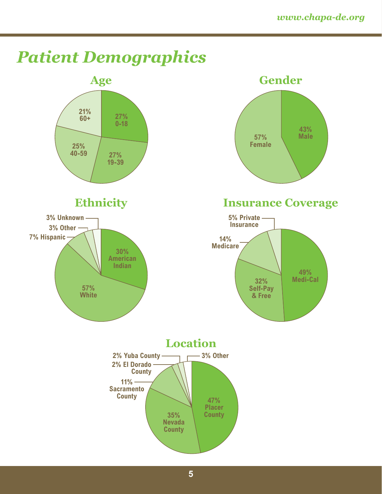## *Patient Demographics*

![](_page_6_Figure_2.jpeg)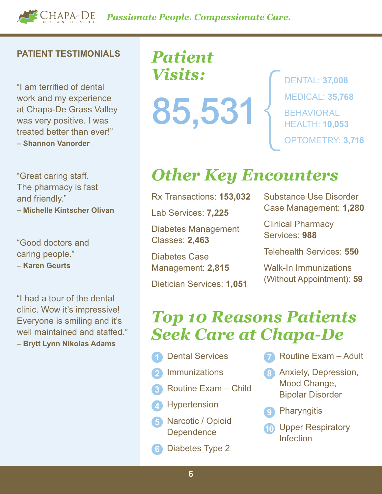### **PATIENT TESTIMONIALS**

"I am terrified of dental work and my experience at Chapa-De Grass Valley was very positive. I was treated better than ever!" **– Shannon Vanorder** 

"Great caring staff. The pharmacy is fast and friendly." **– Michelle Kintscher Olivan**

"Good doctors and caring people." **– Karen Geurts**

"I had a tour of the dental clinic. Wow it's impressive! Everyone is smiling and it's well maintained and staffed." **– Brytt Lynn Nikolas Adams** 

*Patient Visits:*

85,531

DENTAL: **37,008** MEDICAL: **35,768 BEHAVIORAL** HEALTH: **10,053** OPTOMETRY: **3,716**

## *Other Key Encounters*

Rx Transactions: **153,032** 

Lab Services: **7,225** 

Diabetes Management Classes: **2,463**

Diabetes Case Management: **2,815**

Dietician Services: **1,051** 

Substance Use Disorder Case Management: **1,280** 

Clinical Pharmacy Services: **988** 

Telehealth Services: **550** 

Walk-In Immunizations (Without Appointment): **59**

## *Top 10 Reasons Patients Seek Care at Chapa-De*

- Dental Services
- Immunizations **2**
- Routine Exam Child **3**
- 4 Hypertension
- Narcotic / Opioid **5** Dependence
- Diabetes Type 2 **6**
- Routine Exam Adult **7**
- Anxiety, Depression, Mood Change, Bipolar Disorder **8**
- Pharyngitis **9**
- **10** Upper Respiratory Infection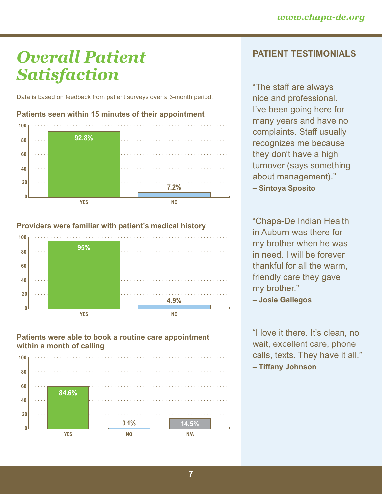## *Overall Patient Satisfaction*

Data is based on feedback from patient surveys over a 3-month period.

![](_page_8_Figure_3.jpeg)

### **100 Providers were familiar with patient's medical history <sup>0</sup>**

![](_page_8_Figure_5.jpeg)

### **80 within a month of calling** Patients were able to book a routine care appointment

![](_page_8_Figure_7.jpeg)

## **PATIENT TESTIMONIALS**

"The staff are always nice and professional. I've been going here for many years and have no complaints. Staff usually recognizes me because they don't have a high turnover (says something about management)." **– Sintoya Sposito**

"Chapa-De Indian Health in Auburn was there for my brother when he was in need. I will be forever thankful for all the warm, friendly care they gave my brother." **– Josie Gallegos** 

"I love it there. It's clean, no wait, excellent care, phone calls, texts. They have it all." **– Tiffany Johnson**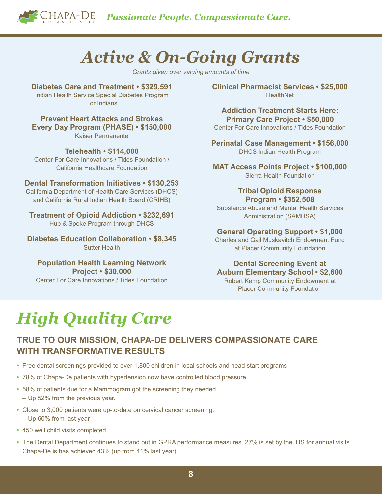![](_page_9_Picture_0.jpeg)

## *Active & On-Going Grants*

*Grants given over varying amounts of time*

**Diabetes Care and Treatment • \$329,591** Indian Health Service Special Diabetes Program For Indians

**Prevent Heart Attacks and Strokes Every Day Program (PHASE) • \$150,000** Kaiser Permanente

**Telehealth • \$114,000** Center For Care Innovations / Tides Foundation / California Healthcare Foundation

#### **Dental Transformation Initiatives • \$130,253**

California Department of Health Care Services (DHCS) and California Rural Indian Health Board (CRIHB)

### **Treatment of Opioid Addiction • \$232,691**

Hub & Spoke Program through DHCS

**Diabetes Education Collaboration • \$8,345** Sutter Health

### **Population Health Learning Network**

**Project • \$30,000** Center For Care Innovations / Tides Foundation **Clinical Pharmacist Services • \$25,000 HealthNet** 

**Addiction Treatment Starts Here: Primary Care Project • \$50,000** Center For Care Innovations / Tides Foundation

**Perinatal Case Management • \$156,000** DHCS Indian Health Program

**MAT Access Points Project • \$100,000** Sierra Health Foundation

#### **Tribal Opioid Response Program • \$352,508**

Substance Abuse and Mental Health Services Administration (SAMHSA)

#### **General Operating Support • \$1,000**

Charles and Gail Muskavitch Endowment Fund at Placer Community Foundation

#### **Dental Screening Event at Auburn Elementary School • \$2,600**

Robert Kemp Community Endowment at Placer Community Foundation

## *High Quality Care*

### **TRUE TO OUR MISSION, CHAPA-DE DELIVERS COMPASSIONATE CARE WITH TRANSFORMATIVE RESULTS**

- **•** Free dental screenings provided to over 1,800 children in local schools and head start programs
- **•** 78% of Chapa-De patients with hypertension now have controlled blood pressure.
- **•** 58% of patients due for a Mammogram got the screening they needed. – Up 52% from the previous year.
- **•** Close to 3,000 patients were up-to-date on cervical cancer screening. – Up 60% from last year
- **•** 450 well child visits completed.
- **•** The Dental Department continues to stand out in GPRA performance measures. 27% is set by the IHS for annual visits. Chapa-De is has achieved 43% (up from 41% last year).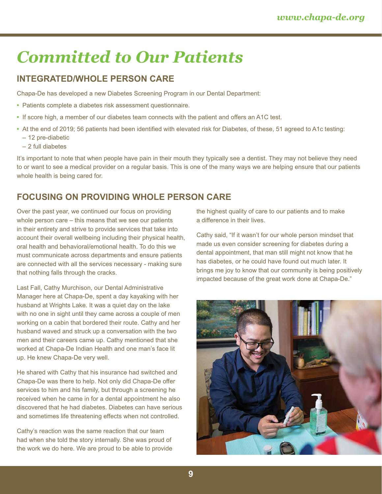## *Committed to Our Patients*

### **INTEGRATED/WHOLE PERSON CARE**

Chapa-De has developed a new Diabetes Screening Program in our Dental Department:

- **•** Patients complete a diabetes risk assessment questionnaire.
- **•** If score high, a member of our diabetes team connects with the patient and offers an A1C test.
- **•** At the end of 2019; 56 patients had been identified with elevated risk for Diabetes, of these, 51 agreed to A1c testing:
	- 12 pre-diabetic
	- 2 full diabetes

It's important to note that when people have pain in their mouth they typically see a dentist. They may not believe they need to or want to see a medical provider on a regular basis. This is one of the many ways we are helping ensure that our patients whole health is being cared for.

### **FOCUSING ON PROVIDING WHOLE PERSON CARE**

Over the past year, we continued our focus on providing whole person care – this means that we see our patients in their entirety and strive to provide services that take into account their overall wellbeing including their physical health, oral health and behavioral/emotional health. To do this we must communicate across departments and ensure patients are connected with all the services necessary - making sure that nothing falls through the cracks.

Last Fall, Cathy Murchison, our Dental Administrative Manager here at Chapa-De, spent a day kayaking with her husband at Wrights Lake. It was a quiet day on the lake with no one in sight until they came across a couple of men working on a cabin that bordered their route. Cathy and her husband waved and struck up a conversation with the two men and their careers came up. Cathy mentioned that she worked at Chapa-De Indian Health and one man's face lit up. He knew Chapa-De very well.

He shared with Cathy that his insurance had switched and Chapa-De was there to help. Not only did Chapa-De offer services to him and his family, but through a screening he received when he came in for a dental appointment he also discovered that he had diabetes. Diabetes can have serious and sometimes life threatening effects when not controlled.

Cathy's reaction was the same reaction that our team had when she told the story internally. She was proud of the work we do here. We are proud to be able to provide the highest quality of care to our patients and to make a difference in their lives.

Cathy said, "If it wasn't for our whole person mindset that made us even consider screening for diabetes during a dental appointment, that man still might not know that he has diabetes, or he could have found out much later. It brings me joy to know that our community is being positively impacted because of the great work done at Chapa-De."

![](_page_10_Picture_17.jpeg)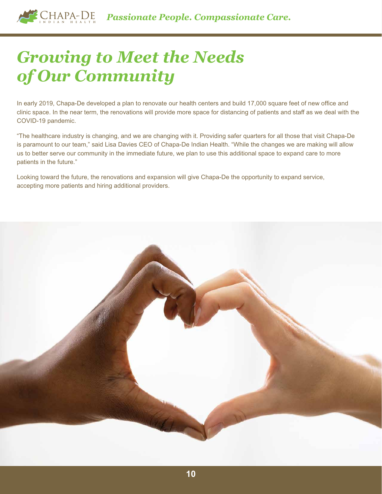## *Growing to Meet the Needs of Our Community*

In early 2019, Chapa-De developed a plan to renovate our health centers and build 17,000 square feet of new office and clinic space. In the near term, the renovations will provide more space for distancing of patients and staff as we deal with the COVID-19 pandemic.

"The healthcare industry is changing, and we are changing with it. Providing safer quarters for all those that visit Chapa-De is paramount to our team," said Lisa Davies CEO of Chapa-De Indian Health. "While the changes we are making will allow us to better serve our community in the immediate future, we plan to use this additional space to expand care to more patients in the future."

Looking toward the future, the renovations and expansion will give Chapa-De the opportunity to expand service, accepting more patients and hiring additional providers.

![](_page_11_Picture_5.jpeg)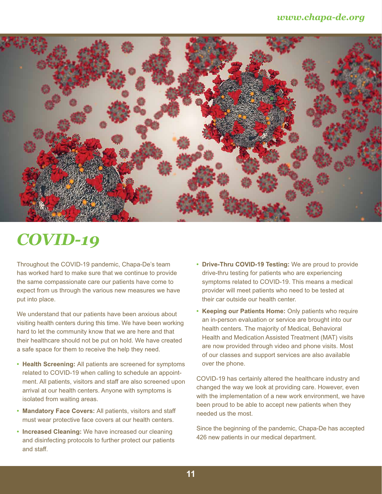![](_page_12_Picture_1.jpeg)

## *COVID-19*

Throughout the COVID-19 pandemic, Chapa-De's team has worked hard to make sure that we continue to provide the same compassionate care our patients have come to expect from us through the various new measures we have put into place.

We understand that our patients have been anxious about visiting health centers during this time. We have been working hard to let the community know that we are here and that their healthcare should not be put on hold. We have created a safe space for them to receive the help they need.

- **• Health Screening:** All patients are screened for symptoms related to COVID-19 when calling to schedule an appointment. All patients, visitors and staff are also screened upon arrival at our health centers. Anyone with symptoms is isolated from waiting areas.
- **• Mandatory Face Covers:** All patients, visitors and staff must wear protective face covers at our health centers.
- **• Increased Cleaning:** We have increased our cleaning and disinfecting protocols to further protect our patients and staff.
- **• Drive-Thru COVID-19 Testing:** We are proud to provide drive-thru testing for patients who are experiencing symptoms related to COVID-19. This means a medical provider will meet patients who need to be tested at their car outside our health center.
- **• Keeping our Patients Home:** Only patients who require an in-person evaluation or service are brought into our health centers. The majority of Medical, Behavioral Health and Medication Assisted Treatment (MAT) visits are now provided through video and phone visits. Most of our classes and support services are also available over the phone.

COVID-19 has certainly altered the healthcare industry and changed the way we look at providing care. However, even with the implementation of a new work environment, we have been proud to be able to accept new patients when they needed us the most.

Since the beginning of the pandemic, Chapa-De has accepted 426 new patients in our medical department.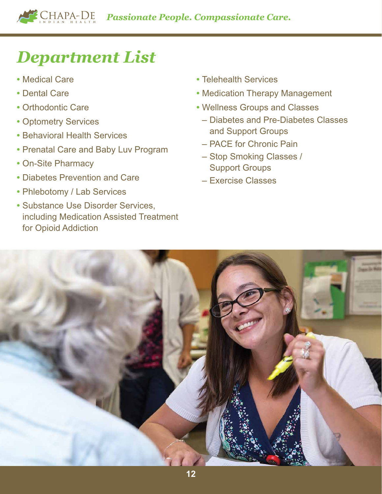## *Department List*

- **•** Medical Care
- **•** Dental Care
- **•** Orthodontic Care
- **•** Optometry Services
- **•** Behavioral Health Services
- **•** Prenatal Care and Baby Luv Program
- **•** On-Site Pharmacy
- **•** Diabetes Prevention and Care
- **•** Phlebotomy / Lab Services
- **•** Substance Use Disorder Services, including Medication Assisted Treatment for Opioid Addiction
- **•** Telehealth Services
- **•** Medication Therapy Management
- **•** Wellness Groups and Classes
	- Diabetes and Pre-Diabetes Classes and Support Groups
	- PACE for Chronic Pain
	- Stop Smoking Classes / Support Groups
	- Exercise Classes

![](_page_13_Picture_19.jpeg)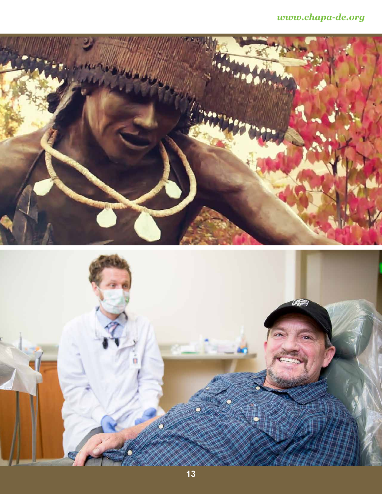## *www.chapa-de.org*

![](_page_14_Picture_1.jpeg)